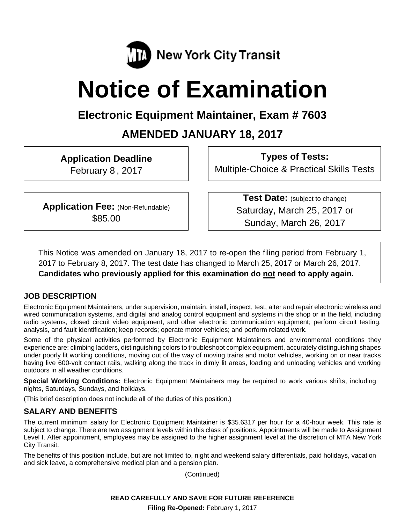

# **Notice of Examination**

# **Electronic Equipment Maintainer, Exam # 7603**

# **AMENDED JANUARY 18, 2017**

**Application Deadline** 

February 8 , 2017

**Types of Tests:**  Multiple-Choice & Practical Skills Tests

**Application Fee: (Non-Refundable)** \$85.00

**Test Date:** (subject to change) Saturday, March 25, 2017 or Sunday, March 26, 2017

This Notice was amended on January 18, 2017 to re-open the filing period from February 1, 2017 to February 8, 2017. The test date has changed to March 25, 2017 or March 26, 2017. **Candidates who previously applied for this examination do not need to apply again.**

# **JOB DESCRIPTION**

Electronic Equipment Maintainers, under supervision, maintain, install, inspect, test, alter and repair electronic wireless and wired communication systems, and digital and analog control equipment and systems in the shop or in the field, including radio systems, closed circuit video equipment, and other electronic communication equipment; perform circuit testing, analysis, and fault identification; keep records; operate motor vehicles; and perform related work.

Some of the physical activities performed by Electronic Equipment Maintainers and environmental conditions they experience are: climbing ladders, distinguishing colors to troubleshoot complex equipment, accurately distinguishing shapes under poorly lit working conditions, moving out of the way of moving trains and motor vehicles, working on or near tracks having live 600-volt contact rails, walking along the track in dimly lit areas, loading and unloading vehicles and working outdoors in all weather conditions.

**Special Working Conditions:** Electronic Equipment Maintainers may be required to work various shifts, including nights, Saturdays, Sundays, and holidays.

(This brief description does not include all of the duties of this position.)

# **SALARY AND BENEFITS**

The current minimum salary for Electronic Equipment Maintainer is \$35.6317 per hour for a 40-hour week. This rate is subject to change. There are two assignment levels within this class of positions. Appointments will be made to Assignment Level I. After appointment, employees may be assigned to the higher assignment level at the discretion of MTA New York City Transit.

The benefits of this position include, but are not limited to, night and weekend salary differentials, paid holidays, vacation and sick leave, a comprehensive medical plan and a pension plan.

(Continued)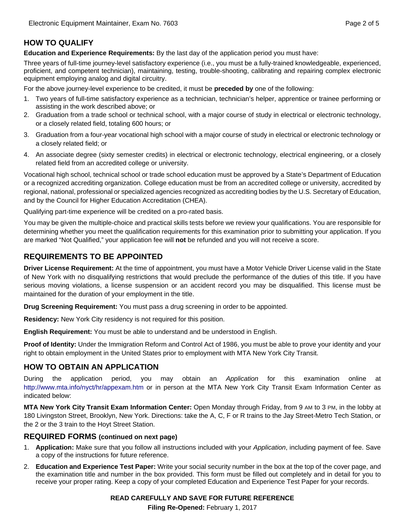# **HOW TO QUALIFY**

**Education and Experience Requirements:** By the last day of the application period you must have:

Three years of full-time journey-level satisfactory experience (i.e., you must be a fully-trained knowledgeable, experienced, proficient, and competent technician), maintaining, testing, trouble-shooting, calibrating and repairing complex electronic equipment employing analog and digital circuitry.

For the above journey-level experience to be credited, it must be **preceded by** one of the following:

- 1. Two years of full-time satisfactory experience as a technician, technician's helper, apprentice or trainee performing or assisting in the work described above; or
- 2. Graduation from a trade school or technical school, with a major course of study in electrical or electronic technology, or a closely related field, totaling 600 hours; or
- 3. Graduation from a four-year vocational high school with a major course of study in electrical or electronic technology or a closely related field; or
- 4. An associate degree (sixty semester credits) in electrical or electronic technology, electrical engineering, or a closely related field from an accredited college or university.

Vocational high school, technical school or trade school education must be approved by a State's Department of Education or a recognized accrediting organization. College education must be from an accredited college or university, accredited by regional, national, professional or specialized agencies recognized as accrediting bodies by the U.S. Secretary of Education, and by the Council for Higher Education Accreditation (CHEA).

Qualifying part-time experience will be credited on a pro-rated basis.

You may be given the multiple-choice and practical skills tests before we review your qualifications. You are responsible for determining whether you meet the qualification requirements for this examination prior to submitting your application. If you are marked "Not Qualified," your application fee will **not** be refunded and you will not receive a score.

# **REQUIREMENTS TO BE APPOINTED**

**Driver License Requirement:** At the time of appointment, you must have a Motor Vehicle Driver License valid in the State of New York with no disqualifying restrictions that would preclude the performance of the duties of this title. If you have serious moving violations, a license suspension or an accident record you may be disqualified. This license must be maintained for the duration of your employment in the title.

**Drug Screening Requirement:** You must pass a drug screening in order to be appointed.

**Residency:** New York City residency is not required for this position.

**English Requirement:** You must be able to understand and be understood in English.

**Proof of Identity:** Under the Immigration Reform and Control Act of 1986, you must be able to prove your identity and your right to obtain employment in the United States prior to employment with MTA New York City Transit.

# **HOW TO OBTAIN AN APPLICATION**

During the application period, you may obtain an *Application* for this examination online at http://www.mta.info/nyct/hr/appexam.htm or in person at the MTA New York City Transit Exam Information Center as indicated below:

**MTA New York City Transit Exam Information Center:** Open Monday through Friday, from 9 AM to 3 PM, in the lobby at 180 Livingston Street, Brooklyn, New York. Directions: take the A, C, F or R trains to the Jay Street-Metro Tech Station, or the 2 or the 3 train to the Hoyt Street Station.

#### **REQUIRED FORMS (continued on next page)**

- 1. **Application:** Make sure that you follow all instructions included with your *Application*, including payment of fee. Save a copy of the instructions for future reference.
- 2. **Education and Experience Test Paper:** Write your social security number in the box at the top of the cover page, and the examination title and number in the box provided. This form must be filled out completely and in detail for you to receive your proper rating. Keep a copy of your completed Education and Experience Test Paper for your records.

#### **READ CAREFULLY AND SAVE FOR FUTURE REFERENCE**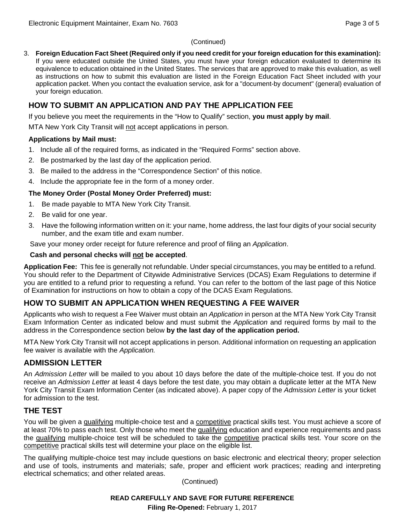#### (Continued)

3. **Foreign Education Fact Sheet (Required only if you need credit for your foreign education for this examination):**  If you were educated outside the United States, you must have your foreign education evaluated to determine its equivalence to education obtained in the United States. The services that are approved to make this evaluation, as well as instructions on how to submit this evaluation are listed in the Foreign Education Fact Sheet included with your application packet. When you contact the evaluation service, ask for a "document-by document" (general) evaluation of your foreign education.

# **HOW TO SUBMIT AN APPLICATION AND PAY THE APPLICATION FEE**

If you believe you meet the requirements in the "How to Qualify" section, **you must apply by mail**.

MTA New York City Transit will not accept applications in person.

#### **Applications by Mail must:**

- 1. Include all of the required forms, as indicated in the "Required Forms" section above.
- 2. Be postmarked by the last day of the application period.
- 3. Be mailed to the address in the "Correspondence Section" of this notice.
- 4. Include the appropriate fee in the form of a money order.

#### **The Money Order (Postal Money Order Preferred) must:**

- 1. Be made payable to MTA New York City Transit.
- 2. Be valid for one year.
- 3. Have the following information written on it: your name, home address, the last four digits of your social security number, and the exam title and exam number.

Save your money order receipt for future reference and proof of filing an *Application*.

#### **Cash and personal checks will not be accepted**.

**Application Fee:** This fee is generally not refundable. Under special circumstances, you may be entitled to a refund. You should refer to the Department of Citywide Administrative Services (DCAS) Exam Regulations to determine if you are entitled to a refund prior to requesting a refund. You can refer to the bottom of the last page of this Notice of Examination for instructions on how to obtain a copy of the DCAS Exam Regulations.

# **HOW TO SUBMIT AN APPLICATION WHEN REQUESTING A FEE WAIVER**

Applicants who wish to request a Fee Waiver must obtain an *Application* in person at the MTA New York City Transit Exam Information Center as indicated below and must submit the *Application* and required forms by mail to the address in the Correspondence section below **by the last day of the application period.**

MTA New York City Transit will not accept applications in person. Additional information on requesting an application fee waiver is available with the *Application.* 

# **ADMISSION LETTER**

An *Admission Letter* will be mailed to you about 10 days before the date of the multiple-choice test. If you do not receive an *Admission Letter* at least 4 days before the test date, you may obtain a duplicate letter at the MTA New York City Transit Exam Information Center (as indicated above). A paper copy of the *Admission Letter* is your ticket for admission to the test.

# **THE TEST**

You will be given a qualifying multiple-choice test and a competitive practical skills test. You must achieve a score of at least 70% to pass each test. Only those who meet the qualifying education and experience requirements and pass the qualifying multiple-choice test will be scheduled to take the competitive practical skills test. Your score on the competitive practical skills test will determine your place on the eligible list.

The qualifying multiple-choice test may include questions on basic electronic and electrical theory; proper selection and use of tools, instruments and materials; safe, proper and efficient work practices; reading and interpreting electrical schematics; and other related areas.

(Continued)

**READ CAREFULLY AND SAVE FOR FUTURE REFERENCE**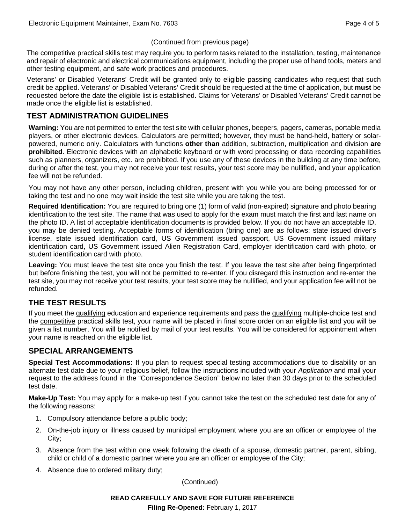#### (Continued from previous page)

The competitive practical skills test may require you to perform tasks related to the installation, testing, maintenance and repair of electronic and electrical communications equipment, including the proper use of hand tools, meters and other testing equipment, and safe work practices and procedures.

Veterans' or Disabled Veterans' Credit will be granted only to eligible passing candidates who request that such credit be applied. Veterans' or Disabled Veterans' Credit should be requested at the time of application, but **must** be requested before the date the eligible list is established. Claims for Veterans' or Disabled Veterans' Credit cannot be made once the eligible list is established.

# **TEST ADMINISTRATION GUIDELINES**

**Warning:** You are not permitted to enter the test site with cellular phones, beepers, pagers, cameras, portable media players, or other electronic devices. Calculators are permitted; however, they must be hand-held, battery or solarpowered, numeric only. Calculators with functions **other than** addition, subtraction, multiplication and division **are prohibited**. Electronic devices with an alphabetic keyboard or with word processing or data recording capabilities such as planners, organizers, etc. are prohibited. If you use any of these devices in the building at any time before, during or after the test, you may not receive your test results, your test score may be nullified, and your application fee will not be refunded.

You may not have any other person, including children, present with you while you are being processed for or taking the test and no one may wait inside the test site while you are taking the test.

**Required Identification:** You are required to bring one (1) form of valid (non-expired) signature and photo bearing identification to the test site. The name that was used to apply for the exam must match the first and last name on the photo ID. A list of acceptable identification documents is provided below. If you do not have an acceptable ID, you may be denied testing. Acceptable forms of identification (bring one) are as follows: state issued driver's license, state issued identification card, US Government issued passport, US Government issued military identification card, US Government issued Alien Registration Card, employer identification card with photo, or student identification card with photo.

**Leaving:** You must leave the test site once you finish the test. If you leave the test site after being fingerprinted but before finishing the test, you will not be permitted to re-enter. If you disregard this instruction and re-enter the test site, you may not receive your test results, your test score may be nullified, and your application fee will not be refunded.

# **THE TEST RESULTS**

If you meet the qualifying education and experience requirements and pass the qualifying multiple-choice test and the competitive practical skills test, your name will be placed in final score order on an eligible list and you will be given a list number. You will be notified by mail of your test results. You will be considered for appointment when your name is reached on the eligible list.

# **SPECIAL ARRANGEMENTS**

**Special Test Accommodations:** If you plan to request special testing accommodations due to disability or an alternate test date due to your religious belief, follow the instructions included with your *Application* and mail your request to the address found in the "Correspondence Section" below no later than 30 days prior to the scheduled test date.

**Make-Up Test:** You may apply for a make-up test if you cannot take the test on the scheduled test date for any of the following reasons:

- 1. Compulsory attendance before a public body;
- 2. On-the-job injury or illness caused by municipal employment where you are an officer or employee of the City;
- 3. Absence from the test within one week following the death of a spouse, domestic partner, parent, sibling, child or child of a domestic partner where you are an officer or employee of the City;
- 4. Absence due to ordered military duty;

(Continued)